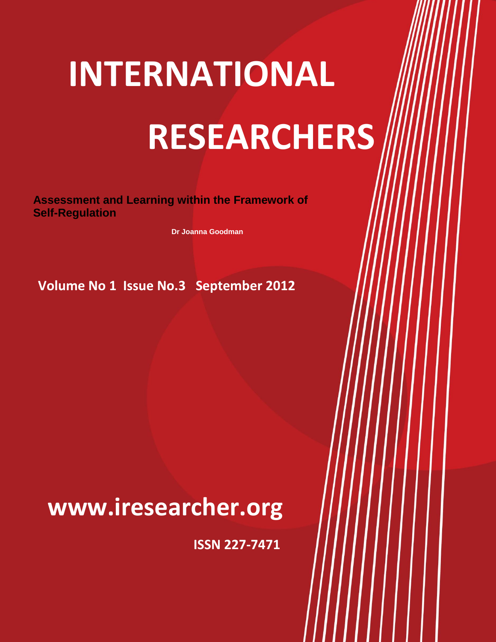# **INTERNATIONAL RESEARCHERS INTERNATIONAL**

**International Researcher Volume No.1 Issue No. 3 September 2012**

**Assessment and Learning within the Framework of Self-Regulation**

**Dr Joanna Goodman**

**Volume No 1 Issue No.3 September 2012**

## **WWW.IRESEARCHER.ORG www.iresearcher.org**

**ISSN 227-7471**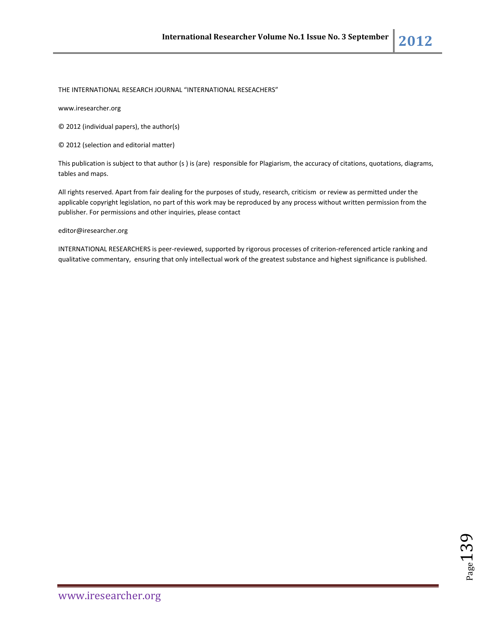THE INTERNATIONAL RESEARCH JOURNAL "INTERNATIONAL RESEACHERS"

www.iresearcher.org

© 2012 (individual papers), the author(s)

© 2012 (selection and editorial matter)

This publication is subject to that author (s ) is (are) responsible for Plagiarism, the accuracy of citations, quotations, diagrams, tables and maps.

All rights reserved. Apart from fair dealing for the purposes of study, research, criticism or review as permitted under the applicable copyright legislation, no part of this work may be reproduced by any process without written permission from the publisher. For permissions and other inquiries, please contact

editor@iresearcher.org

INTERNATIONAL RESEARCHERS is peer-reviewed, supported by rigorous processes of criterion-referenced article ranking and qualitative commentary, ensuring that only intellectual work of the greatest substance and highest significance is published.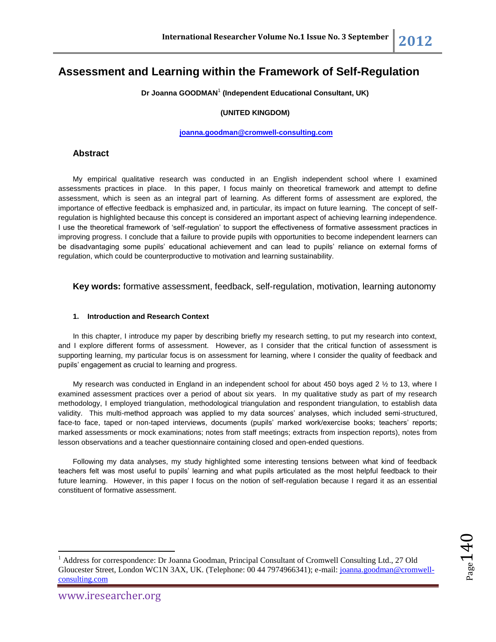### **Assessment and Learning within the Framework of Self-Regulation**

**Dr Joanna GOODMAN**<sup>1</sup> **(Independent Educational Consultant, UK)**

#### **(UNITED KINGDOM)**

**[joanna.goodman@cromwell-consulting.com](mailto:joanna.goodman@cromwell-consulting.com)**

#### **Abstract**

My empirical qualitative research was conducted in an English independent school where I examined assessments practices in place. In this paper, I focus mainly on theoretical framework and attempt to define assessment, which is seen as an integral part of learning. As different forms of assessment are explored, the importance of effective feedback is emphasized and, in particular, its impact on future learning. The concept of selfregulation is highlighted because this concept is considered an important aspect of achieving learning independence. I use the theoretical framework of 'self-regulation' to support the effectiveness of formative assessment practices in improving progress. I conclude that a failure to provide pupils with opportunities to become independent learners can be disadvantaging some pupils' educational achievement and can lead to pupils' reliance on external forms of regulation, which could be counterproductive to motivation and learning sustainability.

**Key words:** formative assessment, feedback, self-regulation, motivation, learning autonomy

#### **1. Introduction and Research Context**

In this chapter, I introduce my paper by describing briefly my research setting, to put my research into context, and I explore different forms of assessment. However, as I consider that the critical function of assessment is supporting learning, my particular focus is on assessment for learning, where I consider the quality of feedback and pupils' engagement as crucial to learning and progress.

My research was conducted in England in an independent school for about 450 boys aged 2 ½ to 13, where I examined assessment practices over a period of about six years. In my qualitative study as part of my research methodology, I employed triangulation, methodological triangulation and respondent triangulation, to establish data validity. This multi-method approach was applied to my data sources' analyses, which included semi-structured, face-to face, taped or non-taped interviews, documents (pupils' marked work/exercise books; teachers' reports; marked assessments or mock examinations; notes from staff meetings; extracts from inspection reports), notes from lesson observations and a teacher questionnaire containing closed and open-ended questions.

Following my data analyses, my study highlighted some interesting tensions between what kind of feedback teachers felt was most useful to pupils' learning and what pupils articulated as the most helpful feedback to their future learning. However, in this paper I focus on the notion of self-regulation because I regard it as an essential constituent of formative assessment.

 $\overline{\phantom{a}}$ 

<sup>&</sup>lt;sup>1</sup> Address for correspondence: Dr Joanna Goodman, Principal Consultant of Cromwell Consulting Ltd., 27 Old Gloucester Street, London WC1N 3AX, UK. (Telephone: 00 44 7974966341); e-mail[: joanna.goodman@cromwell](mailto:joanna.goodman@cromwell-consulting.com)[consulting.com](mailto:joanna.goodman@cromwell-consulting.com)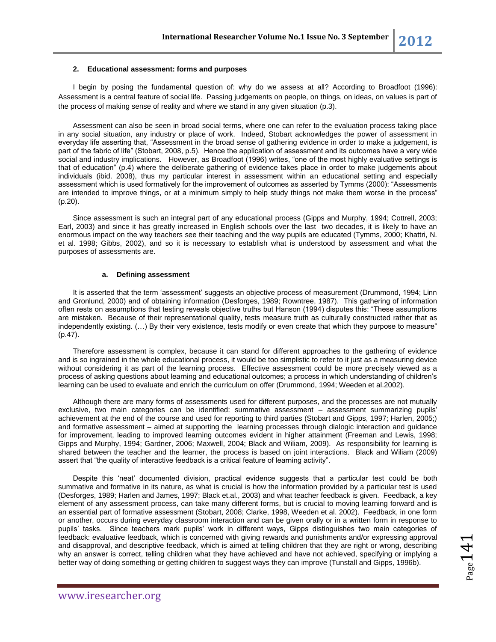#### **2. Educational assessment: forms and purposes**

I begin by posing the fundamental question of: why do we assess at all? According to Broadfoot (1996): Assessment is a central feature of social life. Passing judgements on people, on things, on ideas, on values is part of the process of making sense of reality and where we stand in any given situation (p.3).

Assessment can also be seen in broad social terms, where one can refer to the evaluation process taking place in any social situation, any industry or place of work. Indeed, Stobart acknowledges the power of assessment in everyday life asserting that, "Assessment in the broad sense of gathering evidence in order to make a judgement, is part of the fabric of life" (Stobart, 2008, p.5). Hence the application of assessment and its outcomes have a very wide social and industry implications. However, as Broadfoot (1996) writes, "one of the most highly evaluative settings is that of education" (p.4) where the deliberate gathering of evidence takes place in order to make judgements about individuals (ibid. 2008), thus my particular interest in assessment within an educational setting and especially assessment which is used formatively for the improvement of outcomes as asserted by Tymms (2000): "Assessments are intended to improve things, or at a minimum simply to help study things not make them worse in the process" (p.20).

Since assessment is such an integral part of any educational process (Gipps and Murphy, 1994; Cottrell, 2003; Earl, 2003) and since it has greatly increased in English schools over the last two decades, it is likely to have an enormous impact on the way teachers see their teaching and the way pupils are educated (Tymms, 2000; Khattri, N. et al. 1998; Gibbs, 2002), and so it is necessary to establish what is understood by assessment and what the purposes of assessments are.

#### **a. Defining assessment**

It is asserted that the term 'assessment' suggests an objective process of measurement (Drummond, 1994; Linn and Gronlund, 2000) and of obtaining information (Desforges, 1989; Rowntree, 1987). This gathering of information often rests on assumptions that testing reveals objective truths but Hanson (1994) disputes this: "These assumptions are mistaken. Because of their representational quality, tests measure truth as culturally constructed rather that as independently existing. (…) By their very existence, tests modify or even create that which they purpose to measure" (p.47).

Therefore assessment is complex, because it can stand for different approaches to the gathering of evidence and is so ingrained in the whole educational process, it would be too simplistic to refer to it just as a measuring device without considering it as part of the learning process. Effective assessment could be more precisely viewed as a process of asking questions about learning and educational outcomes; a process in which understanding of children's learning can be used to evaluate and enrich the curriculum on offer (Drummond, 1994; Weeden et al.2002).

Although there are many forms of assessments used for different purposes, and the processes are not mutually exclusive, two main categories can be identified: summative assessment – assessment summarizing pupils' achievement at the end of the course and used for reporting to third parties (Stobart and Gipps, 1997; Harlen, 2005;) and formative assessment – aimed at supporting the learning processes through dialogic interaction and guidance for improvement, leading to improved learning outcomes evident in higher attainment (Freeman and Lewis, 1998; Gipps and Murphy, 1994; Gardner, 2006; Maxwell, 2004; Black and Wiliam, 2009). As responsibility for learning is shared between the teacher and the learner, the process is based on joint interactions. Black and Wiliam (2009) assert that "the quality of interactive feedback is a critical feature of learning activity".

Despite this 'neat' documented division, practical evidence suggests that a particular test could be both summative and formative in its nature, as what is crucial is how the information provided by a particular test is used (Desforges, 1989; Harlen and James, 1997; Black et.al., 2003) and what teacher feedback is given. Feedback, a key element of any assessment process, can take many different forms, but is crucial to moving learning forward and is an essential part of formative assessment (Stobart, 2008; Clarke, 1998, Weeden et al. 2002). Feedback, in one form or another, occurs during everyday classroom interaction and can be given orally or in a written form in response to pupils' tasks. Since teachers mark pupils' work in different ways, Gipps distinguishes two main categories of feedback: evaluative feedback, which is concerned with giving rewards and punishments and/or expressing approval and disapproval, and descriptive feedback, which is aimed at telling children that they are right or wrong, describing why an answer is correct, telling children what they have achieved and have not achieved, specifying or implying a better way of doing something or getting children to suggest ways they can improve (Tunstall and Gipps, 1996b).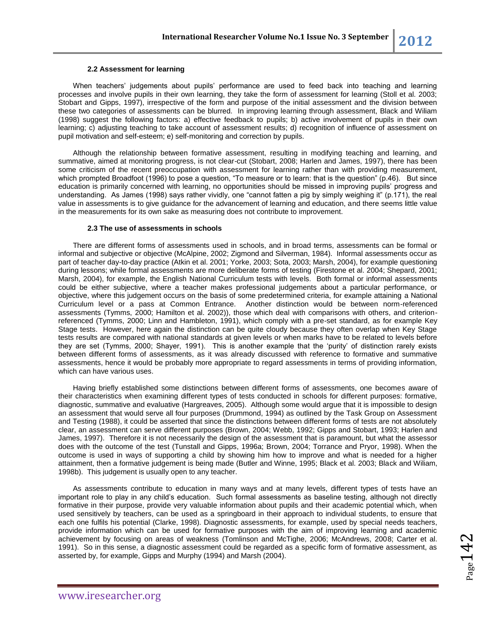#### **2.2 Assessment for learning**

When teachers' judgements about pupils' performance are used to feed back into teaching and learning processes and involve pupils in their own learning, they take the form of assessment for learning (Stoll et al. 2003; Stobart and Gipps, 1997), irrespective of the form and purpose of the initial assessment and the division between these two categories of assessments can be blurred. In improving learning through assessment, Black and Wiliam (1998) suggest the following factors: a) effective feedback to pupils; b) active involvement of pupils in their own learning; c) adjusting teaching to take account of assessment results; d) recognition of influence of assessment on pupil motivation and self-esteem; e) self-monitoring and correction by pupils.

Although the relationship between formative assessment, resulting in modifying teaching and learning, and summative, aimed at monitoring progress, is not clear-cut (Stobart, 2008; Harlen and James, 1997), there has been some criticism of the recent preoccupation with assessment for learning rather than with providing measurement, which prompted Broadfoot (1996) to pose a question, "To measure or to learn: that is the question" (p.46). But since education is primarily concerned with learning, no opportunities should be missed in improving pupils' progress and understanding. As James (1998) says rather vividly, one "cannot fatten a pig by simply weighing it" (p.171), the real value in assessments is to give guidance for the advancement of learning and education, and there seems little value in the measurements for its own sake as measuring does not contribute to improvement.

#### **2.3 The use of assessments in schools**

There are different forms of assessments used in schools, and in broad terms, assessments can be formal or informal and subjective or objective (McAlpine, 2002; Zigmond and Silverman, 1984). Informal assessments occur as part of teacher day-to-day practice (Atkin et al. 2001; Yorke, 2003; Sota, 2003; Marsh, 2004), for example questioning during lessons; while formal assessments are more deliberate forms of testing (Firestone et al. 2004; Shepard, 2001; Marsh, 2004), for example, the English National Curriculum tests with levels. Both formal or informal assessments could be either subjective, where a teacher makes professional judgements about a particular performance, or objective, where this judgement occurs on the basis of some predetermined criteria, for example attaining a National Curriculum level or a pass at Common Entrance. Another distinction would be between norm-referenced assessments (Tymms, 2000; Hamilton et al. 2002)), those which deal with comparisons with others, and criterionreferenced (Tymms, 2000; Linn and Hambleton, 1991), which comply with a pre-set standard, as for example Key Stage tests. However, here again the distinction can be quite cloudy because they often overlap when Key Stage tests results are compared with national standards at given levels or when marks have to be related to levels before they are set (Tymms, 2000; Shayer, 1991). This is another example that the 'purity' of distinction rarely exists between different forms of assessments, as it was already discussed with reference to formative and summative assessments, hence it would be probably more appropriate to regard assessments in terms of providing information, which can have various uses.

Having briefly established some distinctions between different forms of assessments, one becomes aware of their characteristics when examining different types of tests conducted in schools for different purposes: formative, diagnostic, summative and evaluative (Hargreaves, 2005). Although some would argue that it is impossible to design an assessment that would serve all four purposes (Drummond, 1994) as outlined by the Task Group on Assessment and Testing (1988), it could be asserted that since the distinctions between different forms of tests are not absolutely clear, an assessment can serve different purposes (Brown, 2004; Webb, 1992; Gipps and Stobart, 1993; Harlen and James, 1997). Therefore it is not necessarily the design of the assessment that is paramount, but what the assessor does with the outcome of the test (Tunstall and Gipps, 1996a; Brown, 2004; Torrance and Pryor, 1998). When the outcome is used in ways of supporting a child by showing him how to improve and what is needed for a higher attainment, then a formative judgement is being made (Butler and Winne, 1995; Black et al. 2003; Black and Wiliam, 1998b). This judgement is usually open to any teacher.

As assessments contribute to education in many ways and at many levels, different types of tests have an important role to play in any child's education. Such formal assessments as baseline testing, although not directly formative in their purpose, provide very valuable information about pupils and their academic potential which, when used sensitively by teachers, can be used as a springboard in their approach to individual students, to ensure that each one fulfils his potential (Clarke, 1998). Diagnostic assessments, for example, used by special needs teachers, provide information which can be used for formative purposes with the aim of improving learning and academic achievement by focusing on areas of weakness (Tomlinson and McTighe, 2006; McAndrews, 2008; Carter et al. 1991). So in this sense, a diagnostic assessment could be regarded as a specific form of formative assessment, as asserted by, for example, Gipps and Murphy (1994) and Marsh (2004).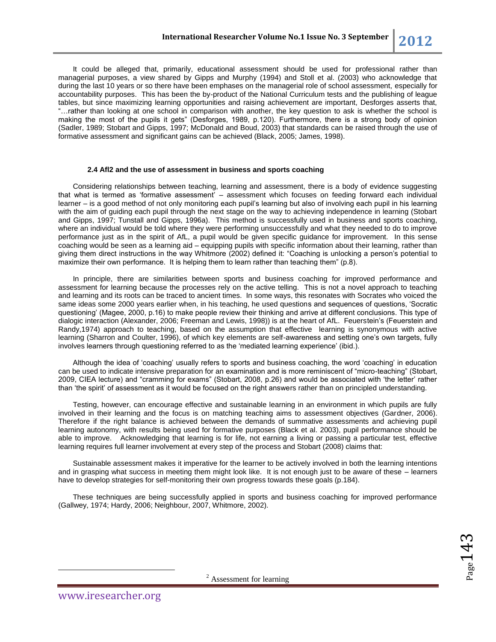It could be alleged that, primarily, educational assessment should be used for professional rather than managerial purposes, a view shared by Gipps and Murphy (1994) and Stoll et al. (2003) who acknowledge that during the last 10 years or so there have been emphases on the managerial role of school assessment, especially for accountability purposes. This has been the by-product of the National Curriculum tests and the publishing of league tables, but since maximizing learning opportunities and raising achievement are important, Desforges asserts that, "…rather than looking at one school in comparison with another, the key question to ask is whether the school is making the most of the pupils it gets" (Desforges, 1989, p.120). Furthermore, there is a strong body of opinion (Sadler, 1989; Stobart and Gipps, 1997; McDonald and Boud, 2003) that standards can be raised through the use of formative assessment and significant gains can be achieved (Black, 2005; James, 1998).

#### **2.4 Afl2 and the use of assessment in business and sports coaching**

Considering relationships between teaching, learning and assessment, there is a body of evidence suggesting that what is termed as 'formative assessment' – assessment which focuses on feeding forward each individual learner – is a good method of not only monitoring each pupil's learning but also of involving each pupil in his learning with the aim of guiding each pupil through the next stage on the way to achieving independence in learning (Stobart and Gipps, 1997; Tunstall and Gipps, 1996a). This method is successfully used in business and sports coaching, where an individual would be told where they were performing unsuccessfully and what they needed to do to improve performance just as in the spirit of AfL, a pupil would be given specific guidance for improvement. In this sense coaching would be seen as a learning aid – equipping pupils with specific information about their learning, rather than giving them direct instructions in the way Whitmore (2002) defined it: "Coaching is unlocking a person's potential to maximize their own performance. It is helping them to learn rather than teaching them" (p.8).

In principle, there are similarities between sports and business coaching for improved performance and assessment for learning because the processes rely on the active telling. This is not a novel approach to teaching and learning and its roots can be traced to ancient times. In some ways, this resonates with Socrates who voiced the same ideas some 2000 years earlier when, in his teaching, he used questions and sequences of questions, 'Socratic questioning' (Magee, 2000, p.16) to make people review their thinking and arrive at different conclusions. This type of dialogic interaction (Alexander, 2006; Freeman and Lewis, 1998)) is at the heart of AfL. Feuerstein's (Feuerstein and Randy,1974) approach to teaching, based on the assumption that effective learning is synonymous with active learning (Sharron and Coulter, 1996), of which key elements are self-awareness and setting one's own targets, fully involves learners through questioning referred to as the 'mediated learning experience' (ibid.).

Although the idea of 'coaching' usually refers to sports and business coaching, the word 'coaching' in education can be used to indicate intensive preparation for an examination and is more reminiscent of "micro-teaching" (Stobart, 2009, CIEA lecture) and "cramming for exams" (Stobart, 2008, p.26) and would be associated with 'the letter' rather than 'the spirit' of assessment as it would be focused on the right answers rather than on principled understanding.

Testing, however, can encourage effective and sustainable learning in an environment in which pupils are fully involved in their learning and the focus is on matching teaching aims to assessment objectives (Gardner, 2006). Therefore if the right balance is achieved between the demands of summative assessments and achieving pupil learning autonomy, with results being used for formative purposes (Black et al. 2003), pupil performance should be able to improve. Acknowledging that learning is for life, not earning a living or passing a particular test, effective learning requires full learner involvement at every step of the process and Stobart (2008) claims that:

Sustainable assessment makes it imperative for the learner to be actively involved in both the learning intentions and in grasping what success in meeting them might look like. It is not enough just to be aware of these – learners have to develop strategies for self-monitoring their own progress towards these goals (p.184).

These techniques are being successfully applied in sports and business coaching for improved performance (Gallwey, 1974; Hardy, 2006; Neighbour, 2007, Whitmore, 2002).

 $_{\rm Page}$ 143

 $2$  Assessment for learning

 $\overline{\phantom{a}}$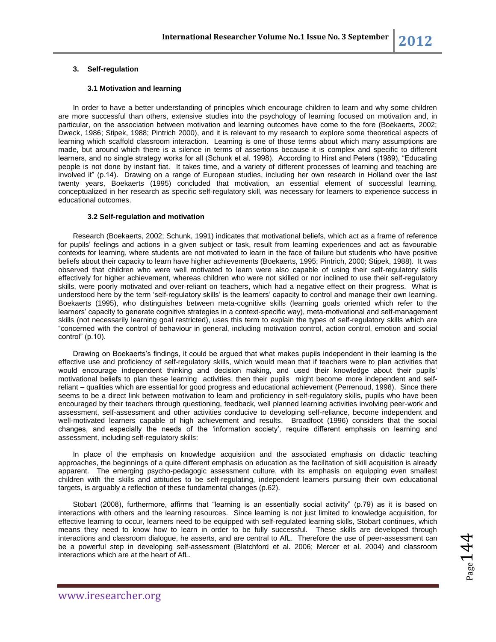#### **3. Self-regulation**

#### **3.1 Motivation and learning**

In order to have a better understanding of principles which encourage children to learn and why some children are more successful than others, extensive studies into the psychology of learning focused on motivation and, in particular, on the association between motivation and learning outcomes have come to the fore (Boekaerts, 2002; Dweck, 1986; Stipek, 1988; Pintrich 2000), and it is relevant to my research to explore some theoretical aspects of learning which scaffold classroom interaction. Learning is one of those terms about which many assumptions are made, but around which there is a silence in terms of assertions because it is complex and specific to different learners, and no single strategy works for all (Schunk et al. 1998). According to Hirst and Peters (1989), "Educating people is not done by instant fiat. It takes time, and a variety of different processes of learning and teaching are involved it" (p.14). Drawing on a range of European studies, including her own research in Holland over the last twenty years, Boekaerts (1995) concluded that motivation, an essential element of successful learning, conceptualized in her research as specific self-regulatory skill, was necessary for learners to experience success in educational outcomes.

#### **3.2 Self-regulation and motivation**

Research (Boekaerts, 2002; Schunk, 1991) indicates that motivational beliefs, which act as a frame of reference for pupils' feelings and actions in a given subject or task, result from learning experiences and act as favourable contexts for learning, where students are not motivated to learn in the face of failure but students who have positive beliefs about their capacity to learn have higher achievements (Boekaerts, 1995; Pintrich, 2000; Stipek, 1988). It was observed that children who were well motivated to learn were also capable of using their self-regulatory skills effectively for higher achievement, whereas children who were not skilled or nor inclined to use their self-regulatory skills, were poorly motivated and over-reliant on teachers, which had a negative effect on their progress. What is understood here by the term 'self-regulatory skills' is the learners' capacity to control and manage their own learning. Boekaerts (1995), who distinguishes between meta-cognitive skills (learning goals oriented which refer to the learners' capacity to generate cognitive strategies in a context-specific way), meta-motivational and self-management skills (not necessarily learning goal restricted), uses this term to explain the types of self-regulatory skills which are "concerned with the control of behaviour in general, including motivation control, action control, emotion and social control" (p.10).

Drawing on Boekaerts's findings, it could be argued that what makes pupils independent in their learning is the effective use and proficiency of self-regulatory skills, which would mean that if teachers were to plan activities that would encourage independent thinking and decision making, and used their knowledge about their pupils' motivational beliefs to plan these learning activities, then their pupils might become more independent and selfreliant – qualities which are essential for good progress and educational achievement (Perrenoud, 1998). Since there seems to be a direct link between motivation to learn and proficiency in self-regulatory skills, pupils who have been encouraged by their teachers through questioning, feedback, well planned learning activities involving peer-work and assessment, self-assessment and other activities conducive to developing self-reliance, become independent and well-motivated learners capable of high achievement and results. Broadfoot (1996) considers that the social changes, and especially the needs of the 'information society', require different emphasis on learning and assessment, including self-regulatory skills:

In place of the emphasis on knowledge acquisition and the associated emphasis on didactic teaching approaches, the beginnings of a quite different emphasis on education as the facilitation of skill acquisition is already apparent. The emerging psycho-pedagogic assessment culture, with its emphasis on equipping even smallest children with the skills and attitudes to be self-regulating, independent learners pursuing their own educational targets, is arguably a reflection of these fundamental changes (p.62).

Stobart (2008), furthermore, affirms that "learning is an essentially social activity" (p.79) as it is based on interactions with others and the learning resources. Since learning is not just limited to knowledge acquisition, for effective learning to occur, learners need to be equipped with self-regulated learning skills, Stobart continues, which means they need to know how to learn in order to be fully successful. These skills are developed through interactions and classroom dialogue, he asserts, and are central to AfL. Therefore the use of peer-assessment can be a powerful step in developing self-assessment (Blatchford et al. 2006; Mercer et al. 2004) and classroom interactions which are at the heart of AfL.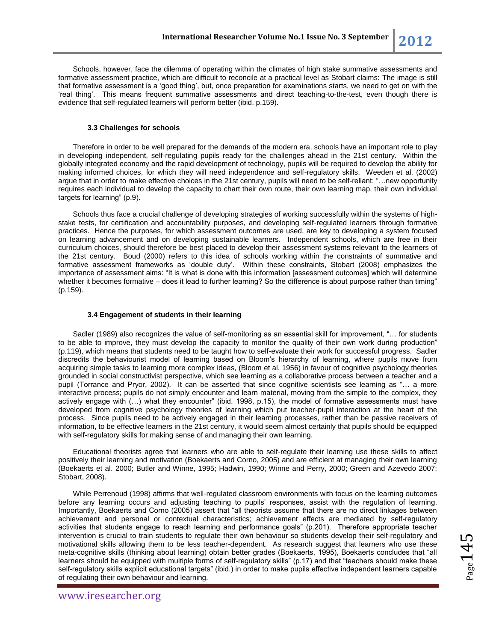Schools, however, face the dilemma of operating within the climates of high stake summative assessments and formative assessment practice, which are difficult to reconcile at a practical level as Stobart claims: The image is still that formative assessment is a 'good thing', but, once preparation for examinations starts, we need to get on with the 'real thing'. This means frequent summative assessments and direct teaching-to-the-test, even though there is evidence that self-regulated learners will perform better (ibid. p.159).

#### **3.3 Challenges for schools**

Therefore in order to be well prepared for the demands of the modern era, schools have an important role to play in developing independent, self-regulating pupils ready for the challenges ahead in the 21st century. Within the globally integrated economy and the rapid development of technology, pupils will be required to develop the ability for making informed choices, for which they will need independence and self-regulatory skills. Weeden et al. (2002) argue that in order to make effective choices in the 21st century, pupils will need to be self-reliant: "…new opportunity requires each individual to develop the capacity to chart their own route, their own learning map, their own individual targets for learning" (p.9).

Schools thus face a crucial challenge of developing strategies of working successfully within the systems of highstake tests, for certification and accountability purposes, and developing self-regulated learners through formative practices. Hence the purposes, for which assessment outcomes are used, are key to developing a system focused on learning advancement and on developing sustainable learners. Independent schools, which are free in their curriculum choices, should therefore be best placed to develop their assessment systems relevant to the learners of the 21st century. Boud (2000) refers to this idea of schools working within the constraints of summative and formative assessment frameworks as 'double duty'. Within these constraints, Stobart (2008) emphasizes the importance of assessment aims: "It is what is done with this information [assessment outcomes] which will determine whether it becomes formative – does it lead to further learning? So the difference is about purpose rather than timing" (p.159).

#### **3.4 Engagement of students in their learning**

Sadler (1989) also recognizes the value of self-monitoring as an essential skill for improvement, "… for students to be able to improve, they must develop the capacity to monitor the quality of their own work during production" (p.119), which means that students need to be taught how to self-evaluate their work for successful progress. Sadler discredits the behaviourist model of learning based on Bloom's hierarchy of learning, where pupils move from acquiring simple tasks to learning more complex ideas, (Bloom et al. 1956) in favour of cognitive psychology theories grounded in social constructivist perspective, which see learning as a collaborative process between a teacher and a pupil (Torrance and Pryor, 2002). It can be asserted that since cognitive scientists see learning as "… a more interactive process; pupils do not simply encounter and learn material, moving from the simple to the complex, they actively engage with (…) what they encounter" (ibid. 1998, p.15), the model of formative assessments must have developed from cognitive psychology theories of learning which put teacher-pupil interaction at the heart of the process. Since pupils need to be actively engaged in their learning processes, rather than be passive receivers of information, to be effective learners in the 21st century, it would seem almost certainly that pupils should be equipped with self-regulatory skills for making sense of and managing their own learning.

Educational theorists agree that learners who are able to self-regulate their learning use these skills to affect positively their learning and motivation (Boekaerts and Corno, 2005) and are efficient at managing their own learning (Boekaerts et al. 2000; Butler and Winne, 1995; Hadwin, 1990; Winne and Perry, 2000; Green and Azevedo 2007; Stobart, 2008).

While Perrenoud (1998) affirms that well-regulated classroom environments with focus on the learning outcomes before any learning occurs and adjusting teaching to pupils' responses, assist with the regulation of learning. Importantly, Boekaerts and Corno (2005) assert that "all theorists assume that there are no direct linkages between achievement and personal or contextual characteristics; achievement effects are mediated by self-regulatory activities that students engage to reach learning and performance goals" (p.201). Therefore appropriate teacher intervention is crucial to train students to regulate their own behaviour so students develop their self-regulatory and motivational skills allowing them to be less teacher-dependent. As research suggest that learners who use these meta-cognitive skills (thinking about learning) obtain better grades (Boekaerts, 1995), Boekaerts concludes that "all learners should be equipped with multiple forms of self-regulatory skills" (p.17) and that "teachers should make these self-regulatory skills explicit educational targets" (ibid.) in order to make pupils effective independent learners capable of regulating their own behaviour and learning.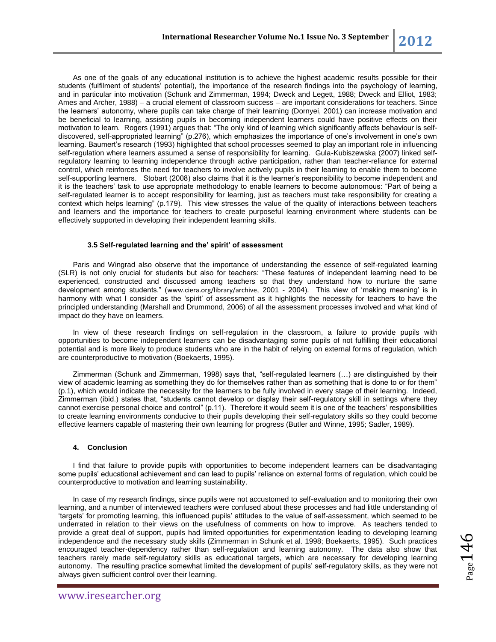As one of the goals of any educational institution is to achieve the highest academic results possible for their students (fulfilment of students' potential), the importance of the research findings into the psychology of learning, and in particular into motivation (Schunk and Zimmerman, 1994; Dweck and Legett, 1988; Dweck and Elliot, 1983; Ames and Archer, 1988) – a crucial element of classroom success – are important considerations for teachers. Since the learners' autonomy, where pupils can take charge of their learning (Dornyei, 2001) can increase motivation and be beneficial to learning, assisting pupils in becoming independent learners could have positive effects on their motivation to learn. Rogers (1991) argues that: "The only kind of learning which significantly affects behaviour is selfdiscovered, self-appropriated learning" (p.276), which emphasizes the importance of one's involvement in one's own learning. Baumert's research (1993) highlighted that school processes seemed to play an important role in influencing self-regulation where learners assumed a sense of responsibility for learning. Gula-Kubiszewska (2007) linked selfregulatory learning to learning independence through active participation, rather than teacher-reliance for external control, which reinforces the need for teachers to involve actively pupils in their learning to enable them to become self-supporting learners. Stobart (2008) also claims that it is the learner's responsibility to become independent and it is the teachers' task to use appropriate methodology to enable learners to become autonomous: "Part of being a self-regulated learner is to accept responsibility for learning, just as teachers must take responsibility for creating a context which helps learning" (p.179). This view stresses the value of the quality of interactions between teachers and learners and the importance for teachers to create purposeful learning environment where students can be effectively supported in developing their independent learning skills.

#### **3.5 Self-regulated learning and the' spirit' of assessment**

Paris and Wingrad also observe that the importance of understanding the essence of self-regulated learning (SLR) is not only crucial for students but also for teachers: "These features of independent learning need to be experienced, constructed and discussed among teachers so that they understand how to nurture the same development among students." ([www.ciera.org/library/archive](http://www.ciera.org/library/archive), 2001 - 2004). This view of 'making meaning' is in harmony with what I consider as the 'spirit' of assessment as it highlights the necessity for teachers to have the principled understanding (Marshall and Drummond, 2006) of all the assessment processes involved and what kind of impact do they have on learners.

In view of these research findings on self-regulation in the classroom, a failure to provide pupils with opportunities to become independent learners can be disadvantaging some pupils of not fulfilling their educational potential and is more likely to produce students who are in the habit of relying on external forms of regulation, which are counterproductive to motivation (Boekaerts, 1995).

Zimmerman (Schunk and Zimmerman, 1998) says that, "self-regulated learners (…) are distinguished by their view of academic learning as something they do for themselves rather than as something that is done to or for them" (p.1), which would indicate the necessity for the learners to be fully involved in every stage of their learning. Indeed, Zimmerman (ibid.) states that, "students cannot develop or display their self-regulatory skill in settings where they cannot exercise personal choice and control" (p.11). Therefore it would seem it is one of the teachers' responsibilities to create learning environments conducive to their pupils developing their self-regulatory skills so they could become effective learners capable of mastering their own learning for progress (Butler and Winne, 1995; Sadler, 1989).

#### **4. Conclusion**

I find that failure to provide pupils with opportunities to become independent learners can be disadvantaging some pupils' educational achievement and can lead to pupils' reliance on external forms of regulation, which could be counterproductive to motivation and learning sustainability.

In case of my research findings, since pupils were not accustomed to self-evaluation and to monitoring their own learning, and a number of interviewed teachers were confused about these processes and had little understanding of 'targets' for promoting learning, this influenced pupils' attitudes to the value of self-assessment, which seemed to be underrated in relation to their views on the usefulness of comments on how to improve. As teachers tended to provide a great deal of support, pupils had limited opportunities for experimentation leading to developing learning independence and the necessary study skills (Zimmerman in Schunk et al. 1998; Boekaerts, 1995). Such practices encouraged teacher-dependency rather than self-regulation and learning autonomy. The data also show that teachers rarely made self-regulatory skills as educational targets, which are necessary for developing learning autonomy. The resulting practice somewhat limited the development of pupils' self-regulatory skills, as they were not always given sufficient control over their learning.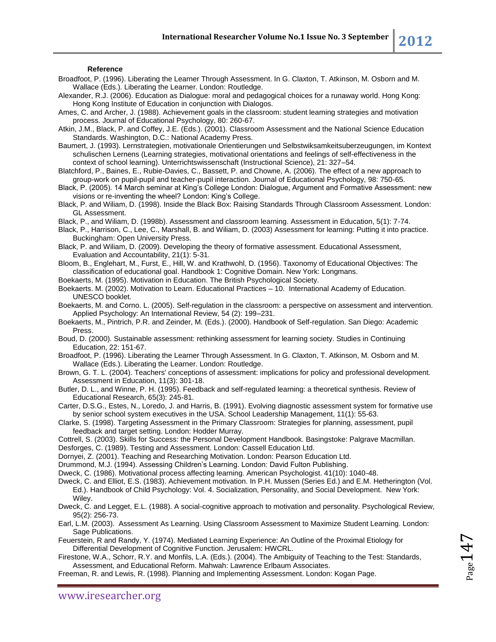#### **Reference**

- Broadfoot, P. (1996). Liberating the Learner Through Assessment. In G. Claxton, T. Atkinson, M. Osborn and M. Wallace (Eds.). Liberating the Learner. London: Routledge.
- Alexander, R.J. (2006). Education as Dialogue: moral and pedagogical choices for a runaway world. Hong Kong: Hong Kong Institute of Education in conjunction with Dialogos.
- Ames, C. and Archer, J. (1988). Achievement goals in the classroom: student learning strategies and motivation process. Journal of Educational Psychology, 80: 260-67.
- Atkin, J.M., Black, P. and Coffey, J.E. (Eds.). (2001). Classroom Assessment and the National Science Education Standards. Washington, D.C.: National Academy Press.
- Baumert, J. (1993). Lernstrategien, motivationale Orientierungen und Selbstwiksamkeitsuberzeugungen, im Kontext schulischen Lernens (Learning strategies, motivational orientations and feelings of self-effectiveness in the context of school learning). Unterrichtswissenschaft (Instructional Science), 21: 327–54.
- Blatchford, P., Baines, E., Rubie-Davies, C., Bassett, P. and Chowne, A. (2006). The effect of a new approach to group-work on pupil-pupil and teacher-pupil interaction. Journal of Educational Psychology, 98: 750-65.
- Black, P. (2005). 14 March seminar at King's College London: Dialogue, Argument and Formative Assessment: new visions or re-inventing the wheel? London: King's College.
- Black, P. and Wiliam, D. (1998). Inside the Black Box: Raising Standards Through Classroom Assessment. London: GL Assessment.
- Black, P., and Wiliam, D. (1998b). Assessment and classroom learning. Assessment in Education, 5(1): 7-74.
- Black, P., Harrison, C., Lee, C., Marshall, B. and Wiliam, D. (2003) Assessment for learning: Putting it into practice. Buckingham: Open University Press.
- Black, P. and Wiliam, D. (2009). Developing the theory of formative assessment. Educational Assessment, Evaluation and Accountability, 21(1): 5-31.
- Bloom, B., Englehart, M., Furst, E., Hill, W. and Krathwohl, D. (1956). Taxonomy of Educational Objectives: The classification of educational goal. Handbook 1: Cognitive Domain. New York: Longmans.
- Boekaerts, M. (1995). Motivation in Education. The British Psychological Society.
- Boekaerts. M. (2002). Motivation to Learn. Educational Practices 10. International Academy of Education. UNESCO booklet.
- Boekaerts, M. and Corno. L. (2005). Self-regulation in the classroom: a perspective on assessment and intervention. Applied Psychology: An International Review, 54 (2): 199–231.
- Boekaerts, M., Pintrich, P.R. and Zeinder, M. (Eds.). (2000). Handbook of Self-regulation. San Diego: Academic Press.
- Boud, D. (2000). Sustainable assessment: rethinking assessment for learning society. Studies in Continuing Education, 22: 151-67.
- Broadfoot, P. (1996). Liberating the Learner Through Assessment. In G. Claxton, T. Atkinson, M. Osborn and M. Wallace (Eds.). Liberating the Learner. London: Routledge.
- Brown, G. T. L. (2004). Teachers' conceptions of assessment: implications for policy and professional development. Assessment in Education, 11(3): 301-18.
- Butler, D. L., and Winne, P. H. (1995). Feedback and self-regulated learning: a theoretical synthesis. Review of Educational Research, 65(3): 245-81.
- Carter, D.S.G., Estes, N., Loredo, J. and Harris, B. (1991). Evolving diagnostic assessment system for formative use by senior school system executives in the USA. School Leadership Management, 11(1): 55-63.
- Clarke, S. (1998). Targeting Assessment in the Primary Classroom: Strategies for planning, assessment, pupil feedback and target setting. London: Hodder Murray.
- Cottrell, S. (2003). Skills for Success: the Personal Development Handbook. Basingstoke: Palgrave Macmillan.
- Desforges, C. (1989). Testing and Assessment. London: Cassell Education Ltd.
- Dornyei, Z. (2001). Teaching and Researching Motivation. London: Pearson Education Ltd.
- Drummond, M.J. (1994). Assessing Children's Learning. London: David Fulton Publishing.
- Dweck, C. (1986). Motivational process affecting learning. American Psychologist. 41(10): 1040-48.
- Dweck, C. and Elliot, E.S. (1983). Achievement motivation. In P.H. Mussen (Series Ed.) and E.M. Hetherington (Vol. Ed.). Handbook of Child Psychology: Vol. 4. Socialization, Personality, and Social Development. New York: Wiley.
- Dweck, C. and Legget, E.L. (1988). A social-cognitive approach to motivation and personality. Psychological Review, 95(2): 256-73.
- Earl, L.M. (2003). Assessment As Learning. Using Classroom Assessment to Maximize Student Learning. London: Sage Publications.
- Feuerstein, R and Randy, Y. (1974). Mediated Learning Experience: An Outline of the Proximal Etiology for Differential Development of Cognitive Function. Jerusalem: HWCRL.
- Firestone, W.A., Schorr, R.Y. and Monfils, L.A. (Eds.). (2004). The Ambiguity of Teaching to the Test: Standards, Assessment, and Educational Reform. Mahwah: Lawrence Erlbaum Associates.
- Freeman, R. and Lewis, R. (1998). Planning and Implementing Assessment. London: Kogan Page.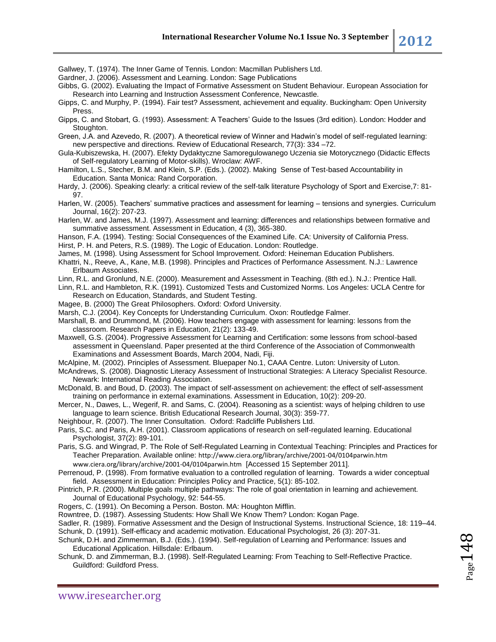Gallwey, T. (1974). The Inner Game of Tennis. London: Macmillan Publishers Ltd.

Gardner, J. (2006). Assessment and Learning. London: Sage Publications

Gibbs, G. (2002). Evaluating the Impact of Formative Assessment on Student Behaviour. European Association for Research into Learning and Instruction Assessment Conference, Newcastle.

Gipps, C. and Murphy, P. (1994). Fair test? Assessment, achievement and equality. Buckingham: Open University Press.

Gipps, C. and Stobart, G. (1993). Assessment: A Teachers' Guide to the Issues (3rd edition). London: Hodder and Stoughton.

Green, J.A. and Azevedo, R. (2007). A theoretical review of Winner and Hadwin's model of self-regulated learning: new perspective and directions. Review of Educational Research, 77(3): 334 –72.

Gula-Kubiszewska, H. (2007). Efekty Dydaktyczne Samoregulowanego Uczenia sie Motorycznego (Didactic Effects of Self-regulatory Learning of Motor-skills). Wroclaw: AWF.

Hamilton, L.S., Stecher, B.M. and Klein, S.P. (Eds.). (2002). Making Sense of Test-based Accountability in Education. Santa Monica: Rand Corporation.

Hardy, J. (2006). Speaking clearly: a critical review of the self-talk literature Psychology of Sport and Exercise,7: 81- 97.

Harlen, W. (2005). Teachers' summative practices and assessment for learning – tensions and synergies. Curriculum Journal, 16(2): 207-23.

Harlen, W. and James, M.J. (1997). Assessment and learning: differences and relationships between formative and summative assessment. Assessment in Education, 4 (3), 365-380.

Hanson, F.A. (1994). Testing: Social Consequences of the Examined Life. CA: University of California Press.

Hirst, P. H. and Peters, R.S. (1989). The Logic of Education. London: Routledge.

James, M. (1998). Using Assessment for School Improvement. Oxford: Heineman Education Publishers.

Khattri, N., Reeve, A., Kane, M.B. (1998). Principles and Practices of Performance Assessment. N.J.: Lawrence Erlbaum Associates.

Linn, R.L. and Gronlund, N.E. (2000). Measurement and Assessment in Teaching. (8th ed.). N.J.: Prentice Hall.

Linn, R.L. and Hambleton, R.K. (1991). Customized Tests and Customized Norms. Los Angeles: UCLA Centre for Research on Education, Standards, and Student Testing.

Magee, B. (2000) The Great Philosophers. Oxford: Oxford University.

Marsh, C.J. (2004). Key Concepts for Understanding Curriculum. Oxon: Routledge Falmer.

Marshall, B. and Drummond, M. (2006). How teachers engage with assessment for learning: lessons from the classroom. Research Papers in Education, 21(2): 133-49.

Maxwell, G.S. (2004). Progressive Assessment for Learning and Certification: some lessons from school-based assessment in Queensland. Paper presented at the third Conference of the Association of Commonwealth Examinations and Assessment Boards, March 2004, Nadi, Fiji.

McAlpine, M. (2002). Principles of Assessment. Bluepaper No.1, CAAA Centre. Luton: University of Luton.

McAndrews, S. (2008). Diagnostic Literacy Assessment of Instructional Strategies: A Literacy Specialist Resource. Newark: International Reading Association.

McDonald, B. and Boud, D. (2003). The impact of self-assessment on achievement: the effect of self-assessment training on performance in external examinations. Assessment in Education, 10(2): 209-20.

Mercer, N., Dawes, L., Wegerif, R. and Sams, C. (2004). Reasoning as a scientist: ways of helping children to use language to learn science. British Educational Research Journal, 30(3): 359-77.

Neighbour, R. (2007). The Inner Consultation. Oxford: Radcliffe Publishers Ltd.

Paris, S.C. and Paris, A.H. (2001). Classroom applications of research on self-regulated learning. Educational Psychologist, 37(2): 89-101.

Paris, S.G. and Wingrad, P. The Role of Self-Regulated Learning in Contextual Teaching: Principles and Practices for Teacher Preparation. Available online: <http://www.ciera.org/library/archive/2001-04/0104parwin.htm> [www.ciera.org/library/archive/2001-04/0104parwin.htm](http://www.ciera.org/library/archive/2001-04/0104parwin.htm) [Accessed 15 September 2011].

Perrenoud, P. (1998). From formative evaluation to a controlled regulation of learning. Towards a wider conceptual field. Assessment in Education: Principles Policy and Practice, 5(1): 85-102.

Pintrich, P.R. (2000). Multiple goals multiple pathways: The role of goal orientation in learning and achievement. Journal of Educational Psychology, 92: 544-55.

Rogers, C. (1991). On Becoming a Person. Boston. MA: Houghton Mifflin.

Rowntree, D. (1987). Assessing Students: How Shall We Know Them? London: Kogan Page.

Sadler, R. (1989). Formative Assessment and the Design of Instructional Systems. Instructional Science, 18: 119–44. Schunk, D. (1991). Self-efficacy and academic motivation. Educational Psychologist, 26 (3): 207-31.

Schunk, D.H. and Zimmerman, B.J. (Eds.). (1994). Self-regulation of Learning and Performance: Issues and Educational Application. Hillsdale: Erlbaum.

Schunk, D. and Zimmerman, B.J. (1998). Self-Regulated Learning: From Teaching to Self-Reflective Practice. Guildford: Guildford Press.